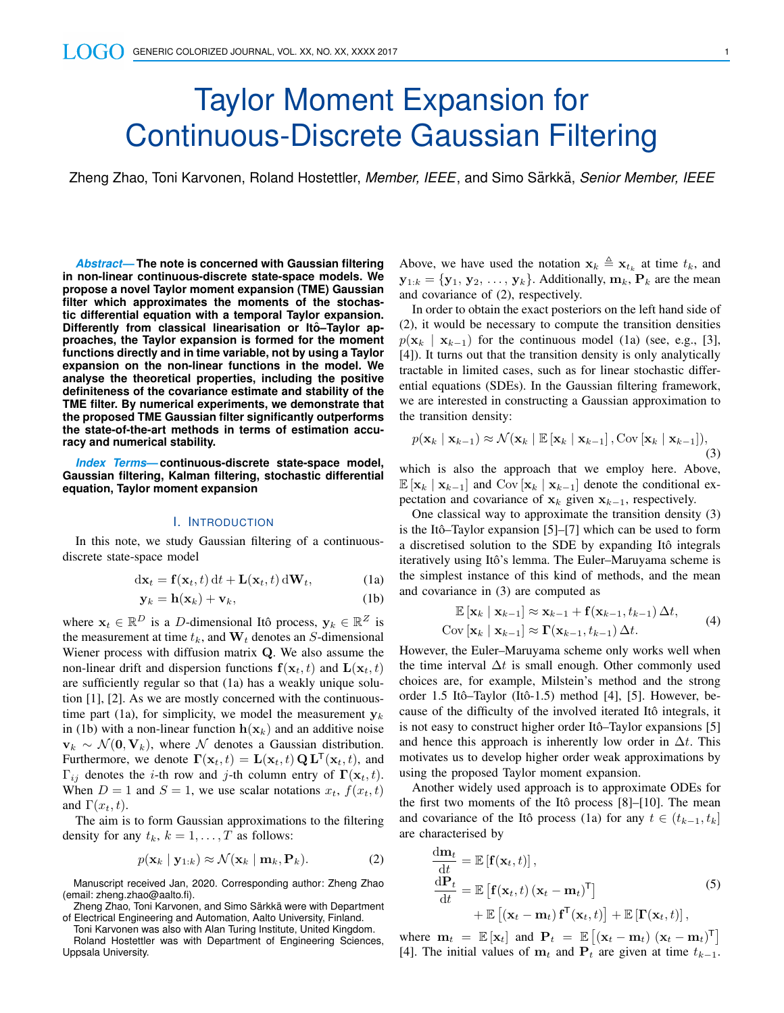# Taylor Moment Expansion for Continuous-Discrete Gaussian Filtering

Zheng Zhao, Toni Karvonen, Roland Hostettler, *Member, IEEE*, and Simo Särkkä, *Senior Member, IEEE* 

*Abstract***— The note is concerned with Gaussian filtering in non-linear continuous-discrete state-space models. We propose a novel Taylor moment expansion (TME) Gaussian filter which approximates the moments of the stochastic differential equation with a temporal Taylor expansion. Differently from classical linearisation or Itô–Taylor approaches, the Taylor expansion is formed for the moment functions directly and in time variable, not by using a Taylor expansion on the non-linear functions in the model. We analyse the theoretical properties, including the positive definiteness of the covariance estimate and stability of the TME filter. By numerical experiments, we demonstrate that the proposed TME Gaussian filter significantly outperforms the state-of-the-art methods in terms of estimation accuracy and numerical stability.**

*Index Terms***— continuous-discrete state-space model, Gaussian filtering, Kalman filtering, stochastic differential equation, Taylor moment expansion**

#### I. INTRODUCTION

In this note, we study Gaussian filtering of a continuousdiscrete state-space model

$$
d\mathbf{x}_t = \mathbf{f}(\mathbf{x}_t, t) dt + \mathbf{L}(\mathbf{x}_t, t) d\mathbf{W}_t,
$$
 (1a)

$$
\mathbf{y}_k = \mathbf{h}(\mathbf{x}_k) + \mathbf{v}_k,\tag{1b}
$$

where  $\mathbf{x}_t \in \mathbb{R}^D$  is a D-dimensional Itô process,  $\mathbf{y}_k \in \mathbb{R}^Z$  is the measurement at time  $t_k$ , and  $W_t$  denotes an S-dimensional Wiener process with diffusion matrix Q. We also assume the non-linear drift and dispersion functions  $f(\mathbf{x}_t, t)$  and  $\mathbf{L}(\mathbf{x}_t, t)$ are sufficiently regular so that (1a) has a weakly unique solution [1], [2]. As we are mostly concerned with the continuoustime part (1a), for simplicity, we model the measurement  $y_k$ in (1b) with a non-linear function  $h(\mathbf{x}_k)$  and an additive noise  $v_k \sim \mathcal{N}(0, V_k)$ , where  $\mathcal N$  denotes a Gaussian distribution. Furthermore, we denote  $\mathbf{\Gamma}(\mathbf{x}_t, t) = \mathbf{L}(\mathbf{x}_t, t) \mathbf{Q} \mathbf{L}^{\mathsf{T}}(\mathbf{x}_t, t)$ , and  $\Gamma_{ij}$  denotes the *i*-th row and *j*-th column entry of  $\Gamma(\mathbf{x}_t, t)$ . When  $D = 1$  and  $S = 1$ , we use scalar notations  $x_t$ ,  $f(x_t, t)$ and  $\Gamma(x_t, t)$ .

The aim is to form Gaussian approximations to the filtering density for any  $t_k$ ,  $k = 1, \ldots, T$  as follows:

$$
p(\mathbf{x}_k \mid \mathbf{y}_{1:k}) \approx \mathcal{N}(\mathbf{x}_k \mid \mathbf{m}_k, \mathbf{P}_k). \tag{2}
$$

Manuscript received Jan, 2020. Corresponding author: Zheng Zhao (email: zheng.zhao@aalto.fi).

Zheng Zhao, Toni Karvonen, and Simo Särkkä were with Department of Electrical Engineering and Automation, Aalto University, Finland.

Toni Karvonen was also with Alan Turing Institute, United Kingdom.

Roland Hostettler was with Department of Engineering Sciences, Uppsala University.

Above, we have used the notation  $\mathbf{x}_k \triangleq \mathbf{x}_{t_k}$  at time  $t_k$ , and  $\mathbf{y}_{1:k} = {\mathbf{y}_1, \mathbf{y}_2, \ldots, \mathbf{y}_k}$ . Additionally,  $\mathbf{m}_k, \mathbf{P}_k$  are the mean and covariance of (2), respectively.

In order to obtain the exact posteriors on the left hand side of (2), it would be necessary to compute the transition densities  $p(\mathbf{x}_k | \mathbf{x}_{k-1})$  for the continuous model (1a) (see, e.g., [3], [4]). It turns out that the transition density is only analytically tractable in limited cases, such as for linear stochastic differential equations (SDEs). In the Gaussian filtering framework, we are interested in constructing a Gaussian approximation to the transition density:

$$
p(\mathbf{x}_k | \mathbf{x}_{k-1}) \approx \mathcal{N}(\mathbf{x}_k | \mathbb{E}[\mathbf{x}_k | \mathbf{x}_{k-1}], \text{Cov}[\mathbf{x}_k | \mathbf{x}_{k-1}]),
$$
\n(3)

which is also the approach that we employ here. Above,  $\mathbb{E}[\mathbf{x}_k | \mathbf{x}_{k-1}]$  and Cov  $[\mathbf{x}_k | \mathbf{x}_{k-1}]$  denote the conditional expectation and covariance of  $x_k$  given  $x_{k-1}$ , respectively.

One classical way to approximate the transition density (3) is the Itô–Taylor expansion  $[5]$ – $[7]$  which can be used to form a discretised solution to the SDE by expanding Itô integrals iteratively using Itô's lemma. The Euler–Maruyama scheme is the simplest instance of this kind of methods, and the mean and covariance in (3) are computed as

$$
\mathbb{E}\left[\mathbf{x}_{k} \mid \mathbf{x}_{k-1}\right] \approx \mathbf{x}_{k-1} + \mathbf{f}(\mathbf{x}_{k-1}, t_{k-1}) \Delta t, \n\text{Cov}\left[\mathbf{x}_{k} \mid \mathbf{x}_{k-1}\right] \approx \mathbf{\Gamma}(\mathbf{x}_{k-1}, t_{k-1}) \Delta t.
$$
\n(4)

However, the Euler–Maruyama scheme only works well when the time interval  $\Delta t$  is small enough. Other commonly used choices are, for example, Milstein's method and the strong order 1.5 Itô–Taylor (Itô-1.5) method [4], [5]. However, because of the difficulty of the involved iterated Itô integrals, it is not easy to construct higher order Itô–Taylor expansions [5] and hence this approach is inherently low order in  $\Delta t$ . This motivates us to develop higher order weak approximations by using the proposed Taylor moment expansion.

Another widely used approach is to approximate ODEs for the first two moments of the Itô process  $[8]$ – $[10]$ . The mean and covariance of the Itô process (1a) for any  $t \in (t_{k-1}, t_k]$ are characterised by

$$
\frac{d\mathbf{m}_t}{dt} = \mathbb{E} [\mathbf{f}(\mathbf{x}_t, t)],\n\frac{d\mathbf{P}_t}{dt} = \mathbb{E} [\mathbf{f}(\mathbf{x}_t, t) (\mathbf{x}_t - \mathbf{m}_t)^{\mathsf{T}}] \n+ \mathbb{E} [(\mathbf{x}_t - \mathbf{m}_t) \mathbf{f}^{\mathsf{T}}(\mathbf{x}_t, t)] + \mathbb{E} [\mathbf{\Gamma}(\mathbf{x}_t, t)],
$$
\n(5)

where  $\mathbf{m}_t = \mathbb{E} [\mathbf{x}_t]$  and  $\mathbf{P}_t = \mathbb{E} [(\mathbf{x}_t - \mathbf{m}_t) (\mathbf{x}_t - \mathbf{m}_t)^\mathsf{T}]$ [4]. The initial values of  $\mathbf{m}_t$  and  $\mathbf{P}_t$  are given at time  $t_{k-1}$ .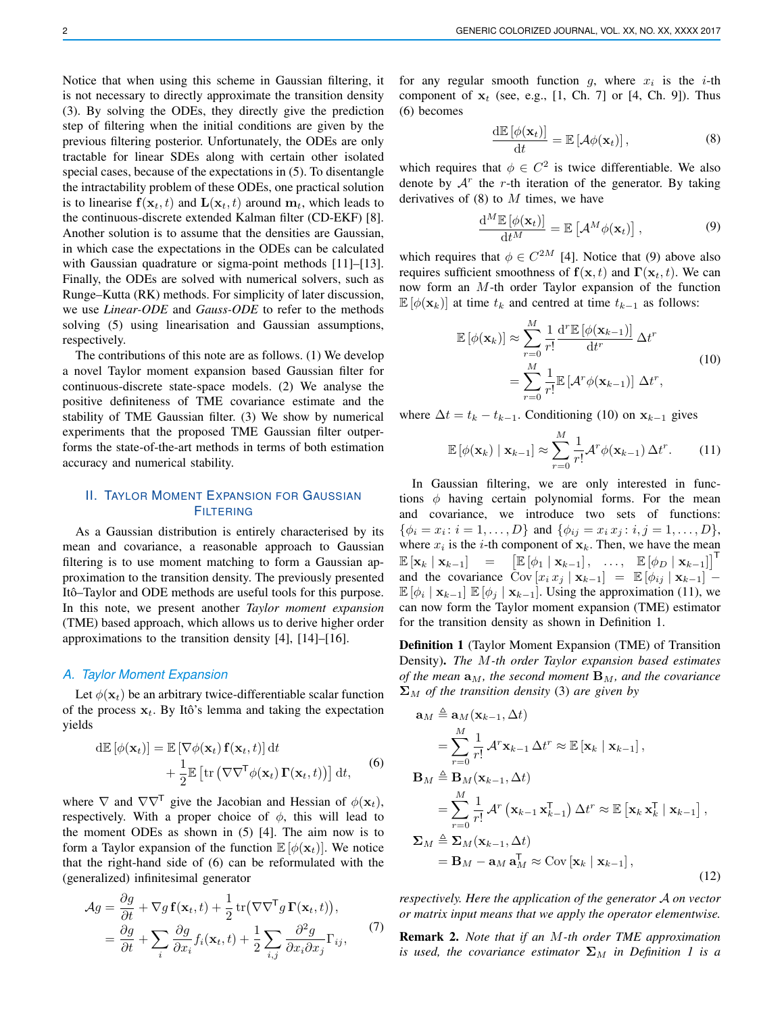Notice that when using this scheme in Gaussian filtering, it is not necessary to directly approximate the transition density (3). By solving the ODEs, they directly give the prediction step of filtering when the initial conditions are given by the previous filtering posterior. Unfortunately, the ODEs are only tractable for linear SDEs along with certain other isolated special cases, because of the expectations in (5). To disentangle the intractability problem of these ODEs, one practical solution is to linearise  $f(\mathbf{x}_t, t)$  and  $\mathbf{L}(\mathbf{x}_t, t)$  around  $\mathbf{m}_t$ , which leads to the continuous-discrete extended Kalman filter (CD-EKF) [8]. Another solution is to assume that the densities are Gaussian, in which case the expectations in the ODEs can be calculated with Gaussian quadrature or sigma-point methods [11]–[13]. Finally, the ODEs are solved with numerical solvers, such as Runge–Kutta (RK) methods. For simplicity of later discussion, we use *Linear-ODE* and *Gauss-ODE* to refer to the methods solving (5) using linearisation and Gaussian assumptions, respectively.

The contributions of this note are as follows. (1) We develop a novel Taylor moment expansion based Gaussian filter for continuous-discrete state-space models. (2) We analyse the positive definiteness of TME covariance estimate and the stability of TME Gaussian filter. (3) We show by numerical experiments that the proposed TME Gaussian filter outperforms the state-of-the-art methods in terms of both estimation accuracy and numerical stability.

## II. TAYLOR MOMENT EXPANSION FOR GAUSSIAN **FILTERING**

As a Gaussian distribution is entirely characterised by its mean and covariance, a reasonable approach to Gaussian filtering is to use moment matching to form a Gaussian approximation to the transition density. The previously presented Itô–Taylor and ODE methods are useful tools for this purpose. In this note, we present another *Taylor moment expansion* (TME) based approach, which allows us to derive higher order approximations to the transition density [4], [14]–[16].

#### *A. Taylor Moment Expansion*

Let  $\phi(\mathbf{x}_t)$  be an arbitrary twice-differentiable scalar function of the process  $x_t$ . By Itô's lemma and taking the expectation yields

d
$$
\mathbb{E} [\phi(\mathbf{x}_t)] = \mathbb{E} [\nabla \phi(\mathbf{x}_t) \mathbf{f}(\mathbf{x}_t, t)] dt
$$
  
  $+ \frac{1}{2} \mathbb{E} [\text{tr} (\nabla \nabla^{\mathsf{T}} \phi(\mathbf{x}_t) \mathbf{\Gamma}(\mathbf{x}_t, t))] dt,$  (6)

where  $\nabla$  and  $\nabla \nabla^{\mathsf{T}}$  give the Jacobian and Hessian of  $\phi(\mathbf{x}_t)$ , respectively. With a proper choice of  $\phi$ , this will lead to the moment ODEs as shown in (5) [4]. The aim now is to form a Taylor expansion of the function  $\mathbb{E}[\phi(\mathbf{x}_t)]$ . We notice that the right-hand side of (6) can be reformulated with the (generalized) infinitesimal generator

$$
\mathcal{A}g = \frac{\partial g}{\partial t} + \nabla g \mathbf{f}(\mathbf{x}_t, t) + \frac{1}{2} \text{tr}(\nabla \nabla^{\mathsf{T}} g \mathbf{\Gamma}(\mathbf{x}_t, t)),
$$
  
=  $\frac{\partial g}{\partial t} + \sum_i \frac{\partial g}{\partial x_i} f_i(\mathbf{x}_t, t) + \frac{1}{2} \sum_{i,j} \frac{\partial^2 g}{\partial x_i \partial x_j} \Gamma_{ij},$  (7)

for any regular smooth function  $g$ , where  $x_i$  is the *i*-th component of  $x_t$  (see, e.g., [1, Ch. 7] or [4, Ch. 9]). Thus (6) becomes

$$
\frac{\mathrm{d}\mathbb{E}\left[\phi(\mathbf{x}_t)\right]}{\mathrm{d}t} = \mathbb{E}\left[\mathcal{A}\phi(\mathbf{x}_t)\right],\tag{8}
$$

which requires that  $\phi \in C^2$  is twice differentiable. We also denote by  $A<sup>r</sup>$  the r-th iteration of the generator. By taking derivatives of  $(8)$  to M times, we have

$$
\frac{\mathrm{d}^M \mathbb{E}\left[\phi(\mathbf{x}_t)\right]}{\mathrm{d}t^M} = \mathbb{E}\left[\mathcal{A}^M \phi(\mathbf{x}_t)\right],\tag{9}
$$

which requires that  $\phi \in C^{2M}$  [4]. Notice that (9) above also requires sufficient smoothness of  $f(\mathbf{x}, t)$  and  $\Gamma(\mathbf{x}_t, t)$ . We can now form an M-th order Taylor expansion of the function  $\mathbb{E} [\phi(\mathbf{x}_k)]$  at time  $t_k$  and centred at time  $t_{k-1}$  as follows:

$$
\mathbb{E}\left[\phi(\mathbf{x}_k)\right] \approx \sum_{r=0}^{M} \frac{1}{r!} \frac{\mathrm{d}^r \mathbb{E}\left[\phi(\mathbf{x}_{k-1})\right]}{\mathrm{d}t^r} \Delta t^r
$$
\n
$$
= \sum_{r=0}^{M} \frac{1}{r!} \mathbb{E}\left[\mathcal{A}^r \phi(\mathbf{x}_{k-1})\right] \Delta t^r,
$$
\n(10)

where  $\Delta t = t_k - t_{k-1}$ . Conditioning (10) on  $\mathbf{x}_{k-1}$  gives

$$
\mathbb{E}\left[\phi(\mathbf{x}_k) \mid \mathbf{x}_{k-1}\right] \approx \sum_{r=0}^{M} \frac{1}{r!} \mathcal{A}^r \phi(\mathbf{x}_{k-1}) \Delta t^r.
$$
 (11)

In Gaussian filtering, we are only interested in functions  $\phi$  having certain polynomial forms. For the mean and covariance, we introduce two sets of functions:  $\{\phi_i = x_i : i = 1, \dots, D\}$  and  $\{\phi_{ij} = x_i x_j : i, j = 1, \dots, D\}$ , where  $x_i$  is the *i*-th component of  $x_k$ . Then, we have the mean  $\mathbb{E}\left[\mathbf{x}_k \mid \mathbf{x}_{k-1}\right] = \left[\mathbb{E}\left[\phi_1 \mid \mathbf{x}_{k-1}\right], \dots, \mathbb{E}\left[\phi_D \mid \mathbf{x}_{k-1}\right]\right]^{\mathsf{T}}$ and the covariance  $\overline{\text{Cov}}[x_i x_j | \mathbf{x}_{k-1}] = \mathbb{E}[\phi_{ij} | \mathbf{x}_{k-1}] \mathbb{E}[\phi_i | \mathbf{x}_{k-1}] \mathbb{E}[\phi_j | \mathbf{x}_{k-1}]$ . Using the approximation (11), we can now form the Taylor moment expansion (TME) estimator for the transition density as shown in Definition 1.

Definition 1 (Taylor Moment Expansion (TME) of Transition Density). *The* M*-th order Taylor expansion based estimates of the mean*  $\mathbf{a}_M$ *, the second moment*  $\mathbf{B}_M$ *, and the covariance*  $\Sigma_M$  *of the transition density* (3) *are given by* 

$$
\mathbf{a}_{M} \triangleq \mathbf{a}_{M}(\mathbf{x}_{k-1}, \Delta t)
$$
\n
$$
= \sum_{r=0}^{M} \frac{1}{r!} \mathcal{A}^{r} \mathbf{x}_{k-1} \Delta t^{r} \approx \mathbb{E} [\mathbf{x}_{k} | \mathbf{x}_{k-1}],
$$
\n
$$
\mathbf{B}_{M} \triangleq \mathbf{B}_{M}(\mathbf{x}_{k-1}, \Delta t)
$$
\n
$$
= \sum_{r=0}^{M} \frac{1}{r!} \mathcal{A}^{r} (\mathbf{x}_{k-1} \mathbf{x}_{k-1}^{T}) \Delta t^{r} \approx \mathbb{E} [\mathbf{x}_{k} \mathbf{x}_{k}^{T} | \mathbf{x}_{k-1}],
$$
\n
$$
\Sigma_{M} \triangleq \Sigma_{M}(\mathbf{x}_{k-1}, \Delta t)
$$
\n
$$
= \mathbf{B}_{M} - \mathbf{a}_{M} \mathbf{a}_{M}^{T} \approx \text{Cov} [\mathbf{x}_{k} | \mathbf{x}_{k-1}],
$$
\n(12)

*respectively. Here the application of the generator* A *on vector or matrix input means that we apply the operator elementwise.*

Remark 2. *Note that if an* M*-th order TME approximation is used, the covariance estimator*  $\Sigma_M$  *in Definition 1 is a*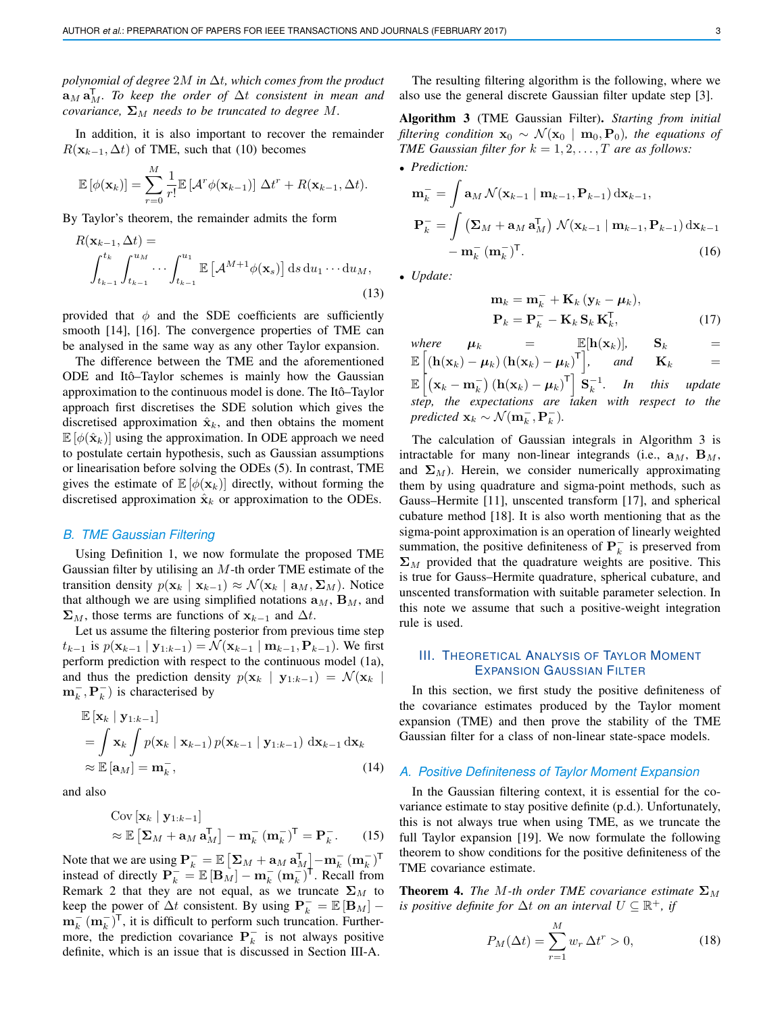*polynomial of degree* 2M *in* ∆t*, which comes from the product*  $\mathbf{a}_{M}\mathbf{a}_{M}^{\mathsf{T}}$ . To keep the order of  $\Delta t$  consistent in mean and *covariance,*  $\Sigma_M$  *needs to be truncated to degree* M.

In addition, it is also important to recover the remainder  $R(\mathbf{x}_{k-1}, \Delta t)$  of TME, such that (10) becomes

$$
\mathbb{E}[\phi(\mathbf{x}_k)] = \sum_{r=0}^M \frac{1}{r!} \mathbb{E}[\mathcal{A}^r \phi(\mathbf{x}_{k-1})] \Delta t^r + R(\mathbf{x}_{k-1}, \Delta t).
$$

By Taylor's theorem, the remainder admits the form

$$
R(\mathbf{x}_{k-1}, \Delta t) = \int_{t_{k-1}}^{t_k} \int_{t_{k-1}}^{u_M} \cdots \int_{t_{k-1}}^{u_1} \mathbb{E}\left[\mathcal{A}^{M+1} \phi(\mathbf{x}_s)\right] ds du_1 \cdots du_M,
$$
\n(13)

provided that  $\phi$  and the SDE coefficients are sufficiently smooth [14], [16]. The convergence properties of TME can be analysed in the same way as any other Taylor expansion.

The difference between the TME and the aforementioned ODE and Itô–Taylor schemes is mainly how the Gaussian approximation to the continuous model is done. The Itô–Taylor approach first discretises the SDE solution which gives the discretised approximation  $\hat{\mathbf{x}}_k$ , and then obtains the moment  $\mathbb{E} [\phi(\hat{\mathbf{x}}_k)]$  using the approximation. In ODE approach we need to postulate certain hypothesis, such as Gaussian assumptions or linearisation before solving the ODEs (5). In contrast, TME gives the estimate of  $\mathbb{E}[\phi(\mathbf{x}_k)]$  directly, without forming the discretised approximation  $\hat{\mathbf{x}}_k$  or approximation to the ODEs.

#### *B. TME Gaussian Filtering*

Using Definition 1, we now formulate the proposed TME Gaussian filter by utilising an  $M$ -th order TME estimate of the transition density  $p(\mathbf{x}_k | \mathbf{x}_{k-1}) \approx \mathcal{N}(\mathbf{x}_k | \mathbf{a}_M, \Sigma_M)$ . Notice that although we are using simplified notations  $\mathbf{a}_M$ ,  $\mathbf{B}_M$ , and  $\Sigma_M$ , those terms are functions of  $\mathbf{x}_{k-1}$  and  $\Delta t$ .

Let us assume the filtering posterior from previous time step  $t_{k-1}$  is  $p(\mathbf{x}_{k-1} | \mathbf{y}_{1:k-1}) = \mathcal{N}(\mathbf{x}_{k-1} | \mathbf{m}_{k-1}, \mathbf{P}_{k-1})$ . We first perform prediction with respect to the continuous model (1a), and thus the prediction density  $p(\mathbf{x}_k | \mathbf{y}_{1:k-1}) = \mathcal{N}(\mathbf{x}_k |$  $\mathbf{m}_k^-$ ,  $\mathbf{P}_k^-$ ) is characterised by

$$
\mathbb{E}\left[\mathbf{x}_{k} \mid \mathbf{y}_{1:k-1}\right] \n= \int \mathbf{x}_{k} \int p(\mathbf{x}_{k} \mid \mathbf{x}_{k-1}) p(\mathbf{x}_{k-1} \mid \mathbf{y}_{1:k-1}) d\mathbf{x}_{k-1} d\mathbf{x}_{k} \n\approx \mathbb{E}\left[\mathbf{a}_{M}\right] = \mathbf{m}_{k}^{-},
$$
\n(14)

and also

$$
\text{Cov} \left[ \mathbf{x}_k \mid \mathbf{y}_{1:k-1} \right] \n\approx \mathbb{E} \left[ \mathbf{\Sigma}_M + \mathbf{a}_M \mathbf{a}_M^\mathsf{T} \right] - \mathbf{m}_k^- \left( \mathbf{m}_k^- \right)^\mathsf{T} = \mathbf{P}_k^-.
$$
\n(15)

Note that we are using  $\mathbf{P}_k^- = \mathbb{E} \left[ \mathbf{\Sigma}_M + \mathbf{a}_M \, \mathbf{a}_M^{\mathsf{T}} \right] - \mathbf{m}_k^- \, (\mathbf{m}_k^-)^{\mathsf{T}}$ instead of directly  $\mathbf{P}_k^- = \mathbb{E} [\mathbf{B}_M] - \mathbf{m}_k^- (\mathbf{m}_k^-)^{\dagger}$ . Recall from Remark 2 that they are not equal, as we truncate  $\Sigma_M$  to keep the power of  $\Delta t$  consistent. By using  $\mathbf{P}_k^- = \mathbb{E} [\mathbf{B}_M]$  –  $\mathbf{m}_k^{-}(\mathbf{m}_k^{-})^{\mathsf{T}}$ , it is difficult to perform such truncation. Furthermore, the prediction covariance  $P_k^-$  is not always positive definite, which is an issue that is discussed in Section III-A.

The resulting filtering algorithm is the following, where we also use the general discrete Gaussian filter update step [3].

Algorithm 3 (TME Gaussian Filter). *Starting from initial filtering condition*  $\mathbf{x}_0 \sim \mathcal{N}(\mathbf{x}_0 \mid \mathbf{m}_0, \mathbf{P}_0)$ *, the equations of TME Gaussian filter for*  $k = 1, 2, \ldots, T$  *are as follows:* • *Prediction:*

$$
\mathbf{m}_{k}^{-} = \int \mathbf{a}_{M} \mathcal{N}(\mathbf{x}_{k-1} | \mathbf{m}_{k-1}, \mathbf{P}_{k-1}) d\mathbf{x}_{k-1},
$$

$$
\mathbf{P}_{k}^{-} = \int (\mathbf{\Sigma}_{M} + \mathbf{a}_{M} \mathbf{a}_{M}^{\mathsf{T}}) \mathcal{N}(\mathbf{x}_{k-1} | \mathbf{m}_{k-1}, \mathbf{P}_{k-1}) d\mathbf{x}_{k-1} - \mathbf{m}_{k}^{-} (\mathbf{m}_{k}^{-})^{\mathsf{T}}.
$$
(16)

• *Update:*

$$
\mathbf{m}_{k} = \mathbf{m}_{k}^{-} + \mathbf{K}_{k} (\mathbf{y}_{k} - \boldsymbol{\mu}_{k}),
$$
  
\n
$$
\mathbf{P}_{k} = \mathbf{P}_{k}^{-} - \mathbf{K}_{k} \mathbf{S}_{k} \mathbf{K}_{k}^{\mathsf{T}},
$$
 (17)

*where*  $\mu_k$  =  $\mathbb{E}[\mathbf{h}(\mathbf{x}_k)]$ ,  $\mathbf{S}_k$  =  $\mathbb{E}\left[\left(\mathbf{h}(\mathbf{x}_k)-\boldsymbol{\mu}_k\right)\left(\mathbf{h}(\mathbf{x}_k)-\boldsymbol{\mu}_k\right)^{\mathsf{T}}\right], \text{ and } \mathbf{K}_k =$  $\mathbb{E}\left[\left(\mathbf{x}_k - \mathbf{m}_k^-\right)\left(\mathbf{h}(\mathbf{x}_k) - \boldsymbol{\mu}_k\right)^{\mathsf{T}}\right] \mathbf{\dot{S}}_k^{-1}$ . In this update *step, the expectations are taken with respect to the predicted*  $\mathbf{x}_k \sim \mathcal{N}(\mathbf{m}_k^-,\mathbf{P}_k^-)$ *.* 

The calculation of Gaussian integrals in Algorithm 3 is intractable for many non-linear integrands (i.e.,  $\mathbf{a}_M$ ,  $\mathbf{B}_M$ , and  $\Sigma_M$ ). Herein, we consider numerically approximating them by using quadrature and sigma-point methods, such as Gauss–Hermite [11], unscented transform [17], and spherical cubature method [18]. It is also worth mentioning that as the sigma-point approximation is an operation of linearly weighted summation, the positive definiteness of  $\mathbf{P}_k^-$  is preserved from  $\Sigma_M$  provided that the quadrature weights are positive. This is true for Gauss–Hermite quadrature, spherical cubature, and unscented transformation with suitable parameter selection. In this note we assume that such a positive-weight integration rule is used.

# III. THEORETICAL ANALYSIS OF TAYLOR MOMENT EXPANSION GAUSSIAN FILTER

In this section, we first study the positive definiteness of the covariance estimates produced by the Taylor moment expansion (TME) and then prove the stability of the TME Gaussian filter for a class of non-linear state-space models.

## *A. Positive Definiteness of Taylor Moment Expansion*

In the Gaussian filtering context, it is essential for the covariance estimate to stay positive definite (p.d.). Unfortunately, this is not always true when using TME, as we truncate the full Taylor expansion [19]. We now formulate the following theorem to show conditions for the positive definiteness of the TME covariance estimate.

**Theorem 4.** *The M-th order TME covariance estimate*  $\Sigma_M$ *is positive definite for*  $\Delta t$  *on an interval*  $U \subseteq \mathbb{R}^+$ *, if* 

$$
P_M(\Delta t) = \sum_{r=1}^M w_r \, \Delta t^r > 0,\tag{18}
$$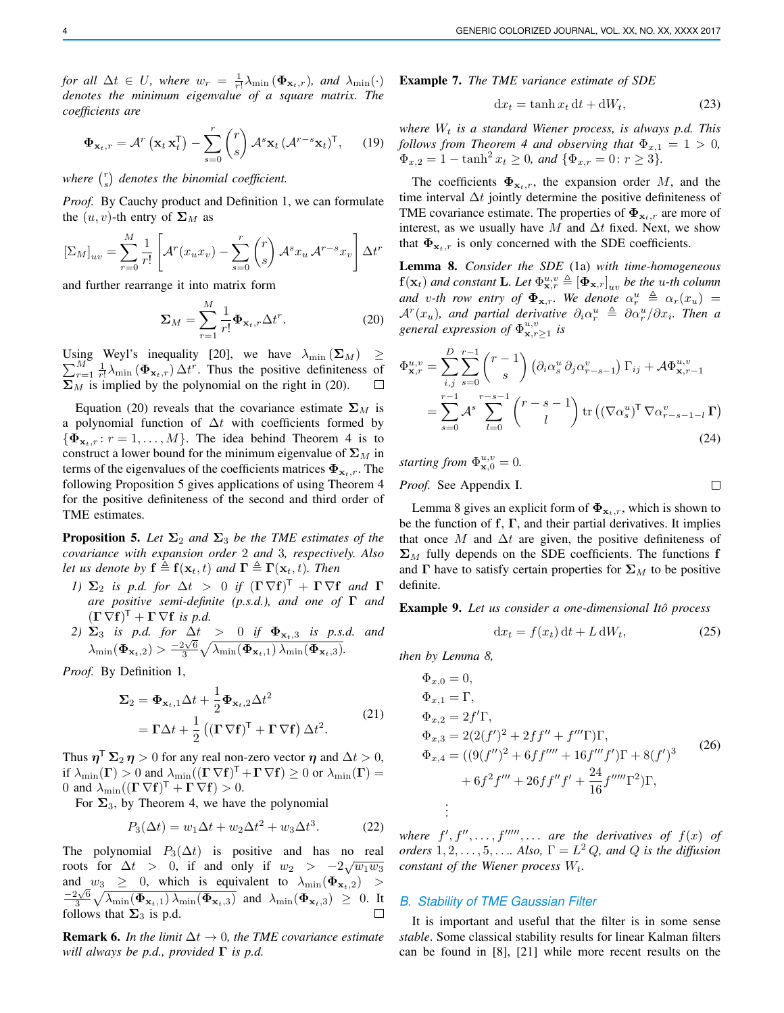*for all*  $\Delta t \in U$ *, where*  $w_r = \frac{1}{r!} \lambda_{\min} (\Phi_{\mathbf{x}_t,r})$ *, and*  $\lambda_{\min}(\cdot)$ *denotes the minimum eigenvalue of a square matrix. The coefficients are*

$$
\mathbf{\Phi}_{\mathbf{x}_t,r} = \mathcal{A}^r \left( \mathbf{x}_t \, \mathbf{x}_t^{\mathsf{T}} \right) - \sum_{s=0}^r \binom{r}{s} \mathcal{A}^s \mathbf{x}_t \left( \mathcal{A}^{r-s} \mathbf{x}_t \right)^{\mathsf{T}},\qquad(19)
$$

where  $\binom{r}{s}$  denotes the binomial coefficient.

*Proof.* By Cauchy product and Definition 1, we can formulate the  $(u, v)$ -th entry of  $\Sigma_M$  as

$$
[\Sigma_M]_{uv} = \sum_{r=0}^M \frac{1}{r!} \left[ \mathcal{A}^r(x_u x_v) - \sum_{s=0}^r \binom{r}{s} \mathcal{A}^s x_u \mathcal{A}^{r-s} x_v \right] \Delta t^r
$$

and further rearrange it into matrix form

$$
\Sigma_M = \sum_{r=1}^M \frac{1}{r!} \Phi_{\mathbf{x}_t, r} \Delta t^r.
$$
 (20)

Using Weyl's inequality [20], we have  $\lambda_{\min}(\Sigma_M) \geq$  $\sum_{r=1}^{M} \frac{1}{r!} \lambda_{\min} (\Phi_{\mathbf{x}_t,r}) \Delta t^r$ . Thus the positive definiteness of  $\Sigma_M$  is implied by the polynomial on the right in (20).  $\Box$ 

Equation (20) reveals that the covariance estimate  $\Sigma_M$  is a polynomial function of  $\Delta t$  with coefficients formed by  $\{\mathbf{\Phi}_{\mathbf{x}_t,r}: r=1,\ldots,M\}$ . The idea behind Theorem 4 is to construct a lower bound for the minimum eigenvalue of  $\Sigma_M$  in terms of the eigenvalues of the coefficients matrices  $\Phi_{\mathbf{x}_t,r}$ . The following Proposition 5 gives applications of using Theorem 4 for the positive definiteness of the second and third order of TME estimates.

**Proposition 5.** Let  $\Sigma_2$  and  $\Sigma_3$  be the TME estimates of the *covariance with expansion order* 2 *and* 3*, respectively. Also let us denote by*  $f \triangleq f(x_t, t)$  *and*  $\Gamma \triangleq \Gamma(x_t, t)$ *. Then* 

- *1*)  $\Sigma_2$  *is p.d. for*  $\Delta t > 0$  *if*  $( \Gamma \nabla f )^{\mathsf{T}} + \Gamma \nabla f$  *and*  $\Gamma$ *are positive semi-definite (p.s.d.), and one of* Γ *and*  $(\Gamma \nabla f)^{\mathsf{T}} + \Gamma \nabla f$  *is p.d.*
- *2)*  $\Sigma_3$  *is p.d. for*  $\Delta t$  > 0 *if*  $\Phi_{\mathbf{x}_t,3}$  *is p.s.d. and*  $\lambda_{\min}(\Phi_{\mathbf{x}_t,2}) > \frac{-2\sqrt{6}}{3}\sqrt{\lambda_{\min}(\Phi_{\mathbf{x}_t,1})\lambda_{\min}(\Phi_{\mathbf{x}_t,2})}.$

*Proof.* By Definition 1,

$$
\Sigma_2 = \Phi_{\mathbf{x}_t,1} \Delta t + \frac{1}{2} \Phi_{\mathbf{x}_t,2} \Delta t^2
$$
  
=  $\Gamma \Delta t + \frac{1}{2} \left( (\Gamma \nabla \mathbf{f})^{\mathsf{T}} + \Gamma \nabla \mathbf{f} \right) \Delta t^2.$  (21)

Thus  $\boldsymbol{\eta}^{\mathsf{T}}\mathbf{\Sigma}_2\,\boldsymbol{\eta}>0$  for any real non-zero vector  $\boldsymbol{\eta}$  and  $\Delta t>0,$ if  $\lambda_{\min}(\Gamma) > 0$  and  $\lambda_{\min}((\Gamma \nabla f)^{\top} + \Gamma \nabla f) \ge 0$  or  $\lambda_{\min}(\Gamma) =$ 0 and  $\lambda_{\min}((\Gamma \nabla f)^{\mathsf{T}} + \Gamma \nabla f) > 0.$ 

For  $\Sigma_3$ , by Theorem 4, we have the polynomial

$$
P_3(\Delta t) = w_1 \Delta t + w_2 \Delta t^2 + w_3 \Delta t^3. \tag{22}
$$

The polynomial  $P_3(\Delta t)$  is positive and has no real roots for  $\Delta t > 0$ , if and only if  $w_2 > -2\sqrt{w_1w_3}$ and  $w_3 \geq 0$ , which is equivalent to  $\lambda_{\min}(\Phi_{\mathbf{x}_t,2})$  $-\frac{2\sqrt{6}}{3}\sqrt{\lambda_{\min}(\boldsymbol{\Phi}_{\mathbf{x}_t,1})\lambda_{\min}(\boldsymbol{\Phi}_{\mathbf{x}_t,3})}$  and  $\lambda_{\min}(\boldsymbol{\Phi}_{\mathbf{x}_t,3}) \geq 0$ . It follows that  $\Sigma_3$  is p.d. П

**Remark 6.** *In the limit*  $\Delta t \rightarrow 0$ *, the TME covariance estimate will always be p.d., provided* Γ *is p.d.*

Example 7. *The TME variance estimate of SDE*

$$
dx_t = \tanh x_t dt + dW_t, \qquad (23)
$$

*where*  $W_t$  *is a standard Wiener process, is always p.d. This follows from Theorem 4 and observing that*  $\Phi_{x,1} = 1 > 0$ ,  $\Phi_{x,2} = 1 - \tanh^2 x_t \geq 0$ , and  $\{\Phi_{x,r} = 0: r \geq 3\}.$ 

The coefficients  $\Phi_{\mathbf{x}_t,r}$ , the expansion order M, and the time interval  $\Delta t$  jointly determine the positive definiteness of TME covariance estimate. The properties of  $\Phi_{\mathbf{x}_t,r}$  are more of interest, as we usually have M and  $\Delta t$  fixed. Next, we show that  $\Phi_{\mathbf{x}_t,r}$  is only concerned with the SDE coefficients.

Lemma 8. *Consider the SDE* (1a) *with time-homogeneous*  $f(\mathbf{x}_t)$  and constant **L**. Let  $\Phi_{\mathbf{x},r}^{u,v} \triangleq [\Phi_{\mathbf{x},r}]_{uv}$  be the u-th column and v-th row entry of  $\Phi_{\mathbf{x},r}$ . We denote  $\alpha_r^u \triangleq \alpha_r(x_u)$  =  $\mathcal{A}^r(x_u)$ , and partial derivative  $\partial_i \alpha_r^u \triangleq \partial \alpha_r^u / \partial x_i$ . Then a *general expression of*  $\Phi_{\mathbf{x},r\geq 1}^{u,v}$  *is* 

$$
\Phi_{\mathbf{x},r}^{u,v} = \sum_{i,j}^{D} \sum_{s=0}^{r-1} {r-1 \choose s} \left( \partial_i \alpha_s^u \partial_j \alpha_{r-s-1}^v \right) \Gamma_{ij} + \mathcal{A} \Phi_{\mathbf{x},r-1}^{u,v}
$$

$$
= \sum_{s=0}^{r-1} \mathcal{A}^s \sum_{l=0}^{r-s-1} {r-s-1 \choose l} \operatorname{tr} \left( (\nabla \alpha_s^u)^{\mathsf{T}} \nabla \alpha_{r-s-1-l}^v \mathbf{\Gamma} \right)
$$
(24)

*starting from*  $\Phi_{\mathbf{x},0}^{u,v} = 0$ .

*Proof.* See Appendix I.

Lemma 8 gives an explicit form of  $\Phi_{x_t,r}$ , which is shown to be the function of  $f, \Gamma$ , and their partial derivatives. It implies that once M and  $\Delta t$  are given, the positive definiteness of  $\Sigma_M$  fully depends on the SDE coefficients. The functions f and  $\Gamma$  have to satisfy certain properties for  $\Sigma_M$  to be positive definite.

Example 9. *Let us consider a one-dimensional Ito process ˆ*

$$
dx_t = f(x_t) dt + L dW_t, \qquad (25)
$$

 $\Box$ 

*then by Lemma 8,*

$$
\Phi_{x,0} = 0,
$$
\n
$$
\Phi_{x,1} = \Gamma,
$$
\n
$$
\Phi_{x,2} = 2f'\Gamma,
$$
\n
$$
\Phi_{x,3} = 2(2(f')^2 + 2ff'' + f''\Gamma)\Gamma,
$$
\n
$$
\Phi_{x,4} = ((9(f'')^2 + 6ff''' + 16f''f')\Gamma + 8(f')^3 + 6f^2f''' + 26ff''f' + \frac{24}{16}f''''\Gamma^2)\Gamma,
$$
\n
$$
\vdots
$$
\n(26)

where  $f', f'', \ldots, f''''', \ldots$  are the derivatives of  $f(x)$  of *orders*  $1, 2, \ldots, 5, \ldots$  *Also,*  $\Gamma = L^2 Q$ *, and*  $Q$  *is the diffusion constant of the Wiener process*  $W_t$ .

### *B. Stability of TME Gaussian Filter*

It is important and useful that the filter is in some sense *stable*. Some classical stability results for linear Kalman filters can be found in [8], [21] while more recent results on the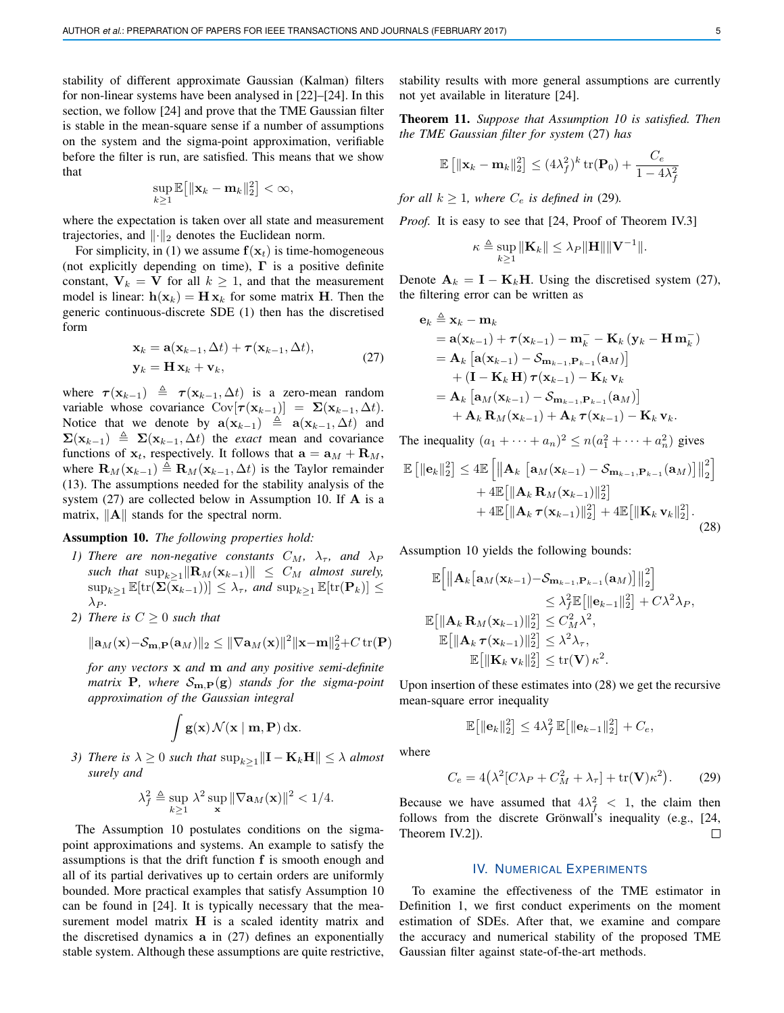stability of different approximate Gaussian (Kalman) filters for non-linear systems have been analysed in [22]–[24]. In this section, we follow [24] and prove that the TME Gaussian filter is stable in the mean-square sense if a number of assumptions on the system and the sigma-point approximation, verifiable before the filter is run, are satisfied. This means that we show that

$$
\sup_{k\geq 1}\mathbb{E}\big[\|\mathbf{x}_k-\mathbf{m}_k\|_2^2\big]<\infty,
$$

where the expectation is taken over all state and measurement trajectories, and  $\lVert \cdot \rVert_2$  denotes the Euclidean norm.

For simplicity, in (1) we assume  $f(x_t)$  is time-homogeneous (not explicitly depending on time),  $\Gamma$  is a positive definite constant,  $V_k = V$  for all  $k \ge 1$ , and that the measurement model is linear:  $h(\mathbf{x}_k) = \mathbf{H} \mathbf{x}_k$  for some matrix H. Then the generic continuous-discrete SDE (1) then has the discretised form

$$
\mathbf{x}_k = \mathbf{a}(\mathbf{x}_{k-1}, \Delta t) + \boldsymbol{\tau}(\mathbf{x}_{k-1}, \Delta t),
$$
  
\n
$$
\mathbf{y}_k = \mathbf{H} \mathbf{x}_k + \mathbf{v}_k,
$$
\n(27)

where  $\tau(\mathbf{x}_{k-1}) \triangleq \tau(\mathbf{x}_{k-1}, \Delta t)$  is a zero-mean random variable whose covariance  $\text{Cov}[\tau(\mathbf{x}_{k-1})] = \Sigma(\mathbf{x}_{k-1}, \Delta t)$ . Notice that we denote by  $\mathbf{a}(\mathbf{x}_{k-1}) \triangleq \mathbf{a}(\mathbf{x}_{k-1}, \Delta t)$  and  $\Sigma(\mathbf{x}_{k-1}) \triangleq \Sigma(\mathbf{x}_{k-1}, \Delta t)$  the *exact* mean and covariance functions of  $x_t$ , respectively. It follows that  $a = a_M + R_M$ , where  $\mathbf{R}_M(\mathbf{x}_{k-1}) \triangleq \mathbf{R}_M(\mathbf{x}_{k-1}, \Delta t)$  is the Taylor remainder (13). The assumptions needed for the stability analysis of the system  $(27)$  are collected below in Assumption 10. If  $A$  is a matrix,  $\|\mathbf{A}\|$  stands for the spectral norm.

#### Assumption 10. *The following properties hold:*

- *1) There are non-negative constants*  $C_M$ ,  $\lambda_{\tau}$ , and  $\lambda_P$ *such that*  $\sup_{k>1}$  $\|\mathbf{R}_M(\mathbf{x}_{k-1})\| \leq C_M$  *almost surely,*  $\sup_{k\geq 1} \mathbb{E}[\text{tr}(\mathbf{\Sigma}(\mathbf{x}_{k-1}))] \leq \lambda_{\tau}$ , and  $\sup_{k\geq 1} \mathbb{E}[\text{tr}(\mathbf{P}_k)] \leq$  $\lambda_{P}$ .
- *2) There is*  $C \geq 0$  *such that*

$$
\|\mathbf{a}_M(\mathbf{x}) - \mathcal{S}_{\mathbf{m},\mathbf{P}}(\mathbf{a}_M)\|_2 \le \|\nabla \mathbf{a}_M(\mathbf{x})\|^2 \|\mathbf{x}-\mathbf{m}\|_2^2 + C \operatorname{tr}(\mathbf{P})
$$

*for any vectors* x *and* m *and any positive semi-definite matrix* **P***, where*  $S_{\mathbf{m},\mathbf{P}}(\mathbf{g})$  *stands for the sigma-point approximation of the Gaussian integral*

$$
\int g(\mathbf{x}) \mathcal{N}(\mathbf{x} \mid \mathbf{m}, \mathbf{P}) \, \mathrm{d}\mathbf{x}.
$$

*3) There is*  $\lambda \geq 0$  *such that*  $\sup_{k>1}$   $\|\mathbf{I} - \mathbf{K}_k\mathbf{H}\| \leq \lambda$  *almost surely and*

$$
\lambda_f^2 \triangleq \sup_{k \geq 1} \lambda^2 \sup_{\mathbf{x}} \|\nabla \mathbf{a}_M(\mathbf{x})\|^2 < 1/4.
$$

The Assumption 10 postulates conditions on the sigmapoint approximations and systems. An example to satisfy the assumptions is that the drift function f is smooth enough and all of its partial derivatives up to certain orders are uniformly bounded. More practical examples that satisfy Assumption 10 can be found in [24]. It is typically necessary that the measurement model matrix  $H$  is a scaled identity matrix and the discretised dynamics a in (27) defines an exponentially stable system. Although these assumptions are quite restrictive, stability results with more general assumptions are currently not yet available in literature [24].

Theorem 11. *Suppose that Assumption 10 is satisfied. Then the TME Gaussian filter for system* (27) *has*

$$
\mathbb{E}\left[\|\mathbf{x}_k - \mathbf{m}_k\|_2^2\right] \le (4\lambda_f^2)^k \operatorname{tr}(\mathbf{P}_0) + \frac{C_e}{1 - 4\lambda_f^2}
$$

*for all*  $k \geq 1$ *, where*  $C_e$  *is defined in* (29)*.* 

*Proof.* It is easy to see that [24, Proof of Theorem IV.3]

$$
\kappa \triangleq \sup_{k \geq 1} \|\mathbf{K}_k\| \leq \lambda_P \|\mathbf{H}\| \|\mathbf{V}^{-1}\|.
$$

Denote  $A_k = I - K_kH$ . Using the discretised system (27), the filtering error can be written as

$$
e_k \triangleq \mathbf{x}_k - \mathbf{m}_k
$$
  
=  $\mathbf{a}(\mathbf{x}_{k-1}) + \tau(\mathbf{x}_{k-1}) - \mathbf{m}_k^- - \mathbf{K}_k (\mathbf{y}_k - \mathbf{H} \mathbf{m}_k^-)$   
=  $\mathbf{A}_k [\mathbf{a}(\mathbf{x}_{k-1}) - S_{\mathbf{m}_{k-1}, \mathbf{P}_{k-1}}(\mathbf{a}_M)]$   
+  $(\mathbf{I} - \mathbf{K}_k \mathbf{H}) \tau(\mathbf{x}_{k-1}) - \mathbf{K}_k \mathbf{v}_k$   
=  $\mathbf{A}_k [\mathbf{a}_M(\mathbf{x}_{k-1}) - S_{\mathbf{m}_{k-1}, \mathbf{P}_{k-1}}(\mathbf{a}_M)]$   
+  $\mathbf{A}_k \mathbf{R}_M(\mathbf{x}_{k-1}) + \mathbf{A}_k \tau(\mathbf{x}_{k-1}) - \mathbf{K}_k \mathbf{v}_k.$ 

The inequality  $(a_1 + \cdots + a_n)^2 \le n(a_1^2 + \cdots + a_n^2)$  gives

$$
\mathbb{E} \left[ \|\mathbf{e}_k\|_2^2 \right] \leq 4 \mathbb{E} \left[ \|\mathbf{A}_k \left[ \mathbf{a}_M(\mathbf{x}_{k-1}) - \mathcal{S}_{\mathbf{m}_{k-1}, \mathbf{P}_{k-1}}(\mathbf{a}_M) \right] \|_2^2 \right] + 4 \mathbb{E} \left[ \|\mathbf{A}_k \mathbf{R}_M(\mathbf{x}_{k-1})\|_2^2 \right] + 4 \mathbb{E} \left[ \|\mathbf{A}_k \boldsymbol{\tau}(\mathbf{x}_{k-1})\|_2^2 \right] + 4 \mathbb{E} \left[ \|\mathbf{K}_k \mathbf{v}_k\|_2^2 \right].
$$
\n(28)

Assumption 10 yields the following bounds:

$$
\mathbb{E}\Big[\Big\|\mathbf{A}_{k}\big[\mathbf{a}_{M}(\mathbf{x}_{k-1})-\mathcal{S}_{\mathbf{m}_{k-1},\mathbf{P}_{k-1}}(\mathbf{a}_{M})\big]\Big\|_{2}^{2}\Big] \n\leq \lambda_{f}^{2}\mathbb{E}\big[\|\mathbf{e}_{k-1}\|_{2}^{2}\big] + C\lambda^{2}\lambda_{P}, \n\mathbb{E}\big[\|\mathbf{A}_{k}\mathbf{R}_{M}(\mathbf{x}_{k-1})\|_{2}^{2}\big] \leq C_{M}^{2}\lambda^{2}, \n\mathbb{E}\big[\|\mathbf{A}_{k}\boldsymbol{\tau}(\mathbf{x}_{k-1})\|_{2}^{2}\big] \leq \lambda^{2}\lambda_{\tau}, \n\mathbb{E}\big[\|\mathbf{K}_{k}\mathbf{v}_{k}\|_{2}^{2}\big] \leq \mathrm{tr}(\mathbf{V})\kappa^{2}.
$$

Upon insertion of these estimates into (28) we get the recursive mean-square error inequality

$$
\mathbb{E}\big[\|\mathbf{e}_k\|_2^2\big] \le 4\lambda_f^2 \,\mathbb{E}\big[\|\mathbf{e}_{k-1}\|_2^2\big] + C_e,
$$

where

$$
C_e = 4(\lambda^2 [C\lambda_P + C_M^2 + \lambda_\tau] + \text{tr}(\mathbf{V})\kappa^2). \tag{29}
$$

Because we have assumed that  $4\lambda_f^2 < 1$ , the claim then follows from the discrete Grönwall's inequality (e.g.,  $[24, 12]$ Theorem IV.2]).  $\Box$ 

### IV. NUMERICAL EXPERIMENTS

To examine the effectiveness of the TME estimator in Definition 1, we first conduct experiments on the moment estimation of SDEs. After that, we examine and compare the accuracy and numerical stability of the proposed TME Gaussian filter against state-of-the-art methods.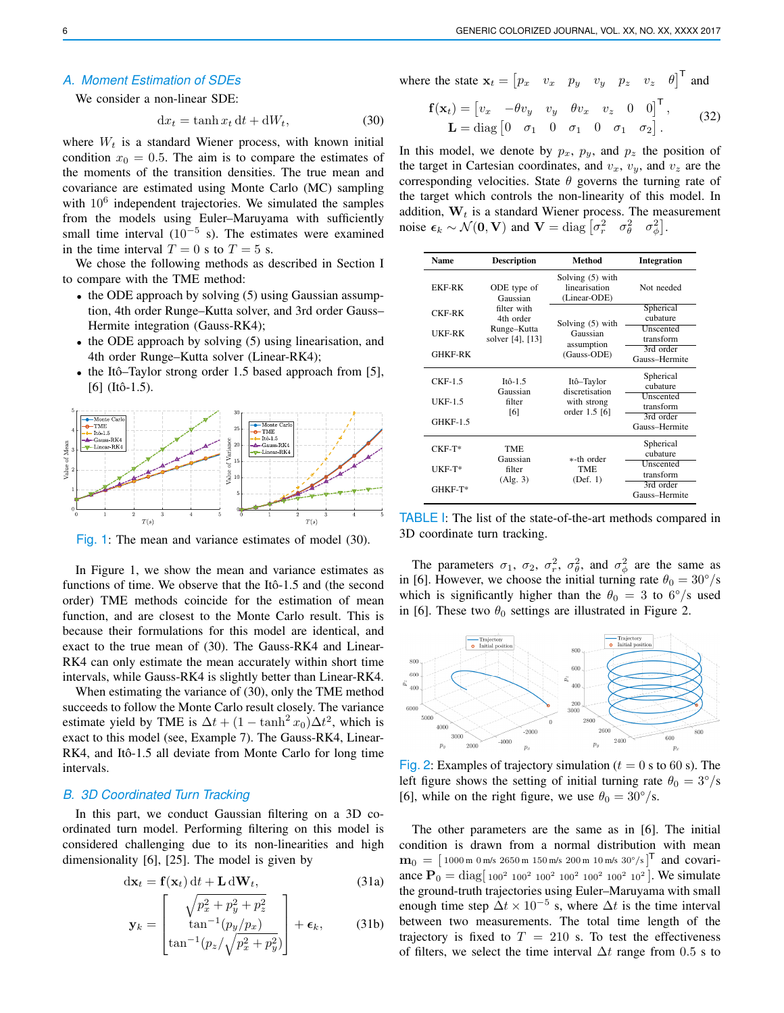### *A. Moment Estimation of SDEs*

We consider a non-linear SDE:

$$
dx_t = \tanh x_t dt + dW_t, \qquad (30)
$$

where  $W_t$  is a standard Wiener process, with known initial condition  $x_0 = 0.5$ . The aim is to compare the estimates of the moments of the transition densities. The true mean and covariance are estimated using Monte Carlo (MC) sampling with  $10^6$  independent trajectories. We simulated the samples from the models using Euler–Maruyama with sufficiently small time interval  $(10^{-5}$  s). The estimates were examined in the time interval  $T = 0$  s to  $T = 5$  s.

We chose the following methods as described in Section I to compare with the TME method:

- the ODE approach by solving (5) using Gaussian assumption, 4th order Runge–Kutta solver, and 3rd order Gauss– Hermite integration (Gauss-RK4);
- the ODE approach by solving (5) using linearisation, and 4th order Runge–Kutta solver (Linear-RK4);
- the Itô–Taylor strong order 1.5 based approach from  $[5]$ ,  $[6]$  (Itô-1.5).



Fig. 1: The mean and variance estimates of model (30).

In Figure 1, we show the mean and variance estimates as functions of time. We observe that the Itô-1.5 and (the second order) TME methods coincide for the estimation of mean function, and are closest to the Monte Carlo result. This is because their formulations for this model are identical, and exact to the true mean of (30). The Gauss-RK4 and Linear-RK4 can only estimate the mean accurately within short time intervals, while Gauss-RK4 is slightly better than Linear-RK4.

When estimating the variance of (30), only the TME method succeeds to follow the Monte Carlo result closely. The variance estimate yield by TME is  $\Delta t + (1 - \tanh^2 x_0) \Delta t^2$ , which is exact to this model (see, Example 7). The Gauss-RK4, Linear-RK4, and Itô-1.5 all deviate from Monte Carlo for long time intervals.

## *B. 3D Coordinated Turn Tracking*

In this part, we conduct Gaussian filtering on a 3D coordinated turn model. Performing filtering on this model is considered challenging due to its non-linearities and high dimensionality [6], [25]. The model is given by

$$
dx_t = f(x_t) dt + L dW_t, \qquad (31a)
$$

$$
\mathbf{y}_k = \begin{bmatrix} \sqrt{p_x^2 + p_y^2 + p_z^2} \\ \tan^{-1}(p_y/p_x) \\ \tan^{-1}(p_z/\sqrt{p_x^2 + p_y^2}) \end{bmatrix} + \boldsymbol{\epsilon}_k, \qquad (31b)
$$

where the state  $\mathbf{x}_t = \begin{bmatrix} p_x & v_x & p_y & v_y & p_z & v_z & \theta \end{bmatrix}^\mathsf{T}$  and

$$
\mathbf{f}(\mathbf{x}_t) = \begin{bmatrix} v_x & -\theta v_y & v_y & \theta v_x & v_z & 0 & 0 \end{bmatrix}^\mathsf{T},
$$
  

$$
\mathbf{L} = \text{diag} \begin{bmatrix} 0 & \sigma_1 & 0 & \sigma_1 & 0 & \sigma_1 & \sigma_2 \end{bmatrix}.
$$
 (32)

In this model, we denote by  $p_x$ ,  $p_y$ , and  $p_z$  the position of the target in Cartesian coordinates, and  $v_x$ ,  $v_y$ , and  $v_z$  are the corresponding velocities. State  $\theta$  governs the turning rate of the target which controls the non-linearity of this model. In addition,  $W_t$  is a standard Wiener process. The measurement noise  $\epsilon_k \sim \mathcal{N}(\mathbf{0}, \mathbf{V})$  and  $\mathbf{V} = \text{diag} \begin{bmatrix} \sigma_r^2 & \sigma_\theta^2 & \sigma_\phi^2 \end{bmatrix}$ .

| <b>Name</b>     | <b>Description</b>                                                                     | <b>Method</b>                                                | <b>Integration</b>         |
|-----------------|----------------------------------------------------------------------------------------|--------------------------------------------------------------|----------------------------|
| <b>EKF-RK</b>   | ODE type of<br>Gaussian<br>filter with<br>4th order<br>Runge-Kutta<br>solver [4], [13] | Solving $(5)$ with<br>linearisation<br>(Linear-ODE)          | Not needed                 |
| <b>CKF-RK</b>   |                                                                                        | Solving (5) with<br>Gaussian<br>assumption<br>(Gauss-ODE)    | Spherical<br>cubature      |
| UKF-RK          |                                                                                        |                                                              | Unscented<br>transform     |
| <b>GHKF-RK</b>  |                                                                                        |                                                              | 3rd order<br>Gauss-Hermite |
| $CKF-1.5$       | Itô-1.5<br>Gaussian<br>filter<br>[6]                                                   | Itô-Taylor<br>discretisation<br>with strong<br>order 1.5 [6] | Spherical<br>cubature      |
| <b>UKF-1.5</b>  |                                                                                        |                                                              | Unscented<br>transform     |
| <b>GHKF-1.5</b> |                                                                                        |                                                              | 3rd order<br>Gauss-Hermite |
| $CKF-T*$        | <b>TME</b><br>Gaussian<br>filter<br>(Alg. 3)                                           | *-th order<br>TME.<br>(Def. 1)                               | Spherical<br>cubature      |
| UKF-T*          |                                                                                        |                                                              | Unscented<br>transform     |
| $GHKF-T*$       |                                                                                        |                                                              | 3rd order<br>Gauss-Hermite |

TABLE I: The list of the state-of-the-art methods compared in 3D coordinate turn tracking.

The parameters  $\sigma_1$ ,  $\sigma_2$ ,  $\sigma_r^2$ ,  $\sigma_\theta^2$ , and  $\sigma_\phi^2$  are the same as in [6]. However, we choose the initial turning rate  $\theta_0 = 30^{\circ}/s$ which is significantly higher than the  $\theta_0 = 3$  to 6°/s used in [6]. These two  $\theta_0$  settings are illustrated in Figure 2.



Fig. 2: Examples of trajectory simulation ( $t = 0$  s to 60 s). The left figure shows the setting of initial turning rate  $\theta_0 = 3^{\circ}/s$ [6], while on the right figure, we use  $\theta_0 = 30^{\circ}/s$ .

The other parameters are the same as in [6]. The initial condition is drawn from a normal distribution with mean  $\mathbf{m}_0 = [$  1000 m 0 m/s 2650 m 150 m/s 200 m 10 m/s 30°/s $]^\mathsf{T}$  and covariance  $P_0 = \text{diag} \left[ 100^2 \ 100^2 \ 100^2 \ 100^2 \ 100^2 \ 100^2 \ 100^2 \right]$ . We simulate the ground-truth trajectories using Euler–Maruyama with small enough time step  $\Delta t \times 10^{-5}$  s, where  $\Delta t$  is the time interval between two measurements. The total time length of the trajectory is fixed to  $T = 210$  s. To test the effectiveness of filters, we select the time interval  $\Delta t$  range from 0.5 s to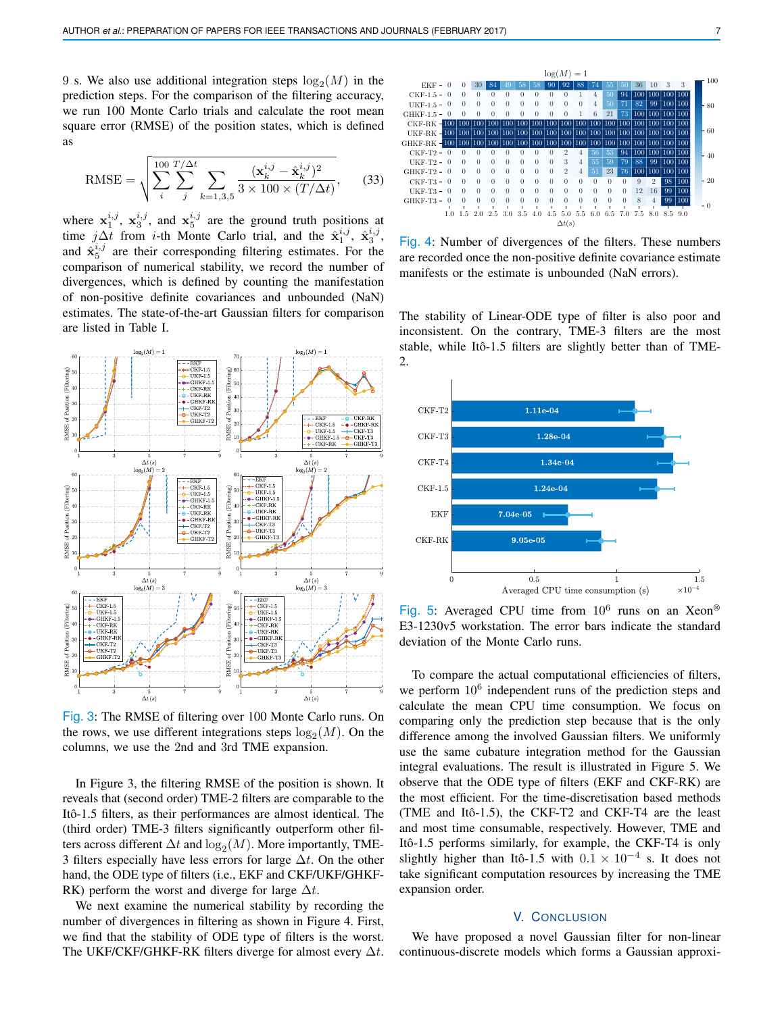9 s. We also use additional integration steps  $log_2(M)$  in the prediction steps. For the comparison of the filtering accuracy, we run 100 Monte Carlo trials and calculate the root mean square error (RMSE) of the position states, which is defined as

RMSE = 
$$
\sqrt{\sum_{i}^{100} \sum_{j}^{T/\Delta t} \sum_{k=1,3,5} \frac{(\mathbf{x}_{k}^{i,j} - \hat{\mathbf{x}}_{k}^{i,j})^2}{3 \times 100 \times (T/\Delta t)}},
$$
(33)

where  $x_1^{i,j}$ ,  $x_3^{i,j}$ , and  $x_5^{i,j}$  are the ground truth positions at time j∆t from *i*-th Monte Carlo trial, and the  $\hat{\mathbf{x}}_1^{i,j}$ ,  $\hat{\mathbf{x}}_3^{i,j}$ , and  $\hat{x}_5^{i,j}$  are their corresponding filtering estimates. For the comparison of numerical stability, we record the number of divergences, which is defined by counting the manifestation of non-positive definite covariances and unbounded (NaN) estimates. The state-of-the-art Gaussian filters for comparison are listed in Table I.



Fig. 3: The RMSE of filtering over 100 Monte Carlo runs. On the rows, we use different integrations steps  $log_2(M)$ . On the columns, we use the 2nd and 3rd TME expansion.

In Figure 3, the filtering RMSE of the position is shown. It reveals that (second order) TME-2 filters are comparable to the Itô-1.5 filters, as their performances are almost identical. The (third order) TME-3 filters significantly outperform other filters across different  $\Delta t$  and  $\log_2(M)$ . More importantly, TME-3 filters especially have less errors for large  $\Delta t$ . On the other hand, the ODE type of filters (i.e., EKF and CKF/UKF/GHKF-RK) perform the worst and diverge for large  $\Delta t$ .

We next examine the numerical stability by recording the number of divergences in filtering as shown in Figure 4. First, we find that the stability of ODE type of filters is the worst. The UKF/CKF/GHKF-RK filters diverge for almost every  $\Delta t$ .



Fig. 4: Number of divergences of the filters. These numbers are recorded once the non-positive definite covariance estimate manifests or the estimate is unbounded (NaN errors).

The stability of Linear-ODE type of filter is also poor and inconsistent. On the contrary, TME-3 filters are the most stable, while Itô-1.5 filters are slightly better than of TME-2.



Fig. 5: Averaged CPU time from  $10^6$  runs on an Xeon® E3-1230v5 workstation. The error bars indicate the standard deviation of the Monte Carlo runs.

To compare the actual computational efficiencies of filters, we perform  $10^6$  independent runs of the prediction steps and calculate the mean CPU time consumption. We focus on comparing only the prediction step because that is the only difference among the involved Gaussian filters. We uniformly use the same cubature integration method for the Gaussian integral evaluations. The result is illustrated in Figure 5. We observe that the ODE type of filters (EKF and CKF-RK) are the most efficient. For the time-discretisation based methods (TME and Itô-1.5), the CKF-T2 and CKF-T4 are the least and most time consumable, respectively. However, TME and Itô-1.5 performs similarly, for example, the CKF-T4 is only slightly higher than Itô-1.5 with  $0.1 \times 10^{-4}$  s. It does not take significant computation resources by increasing the TME expansion order.

### V. CONCLUSION

We have proposed a novel Gaussian filter for non-linear continuous-discrete models which forms a Gaussian approxi